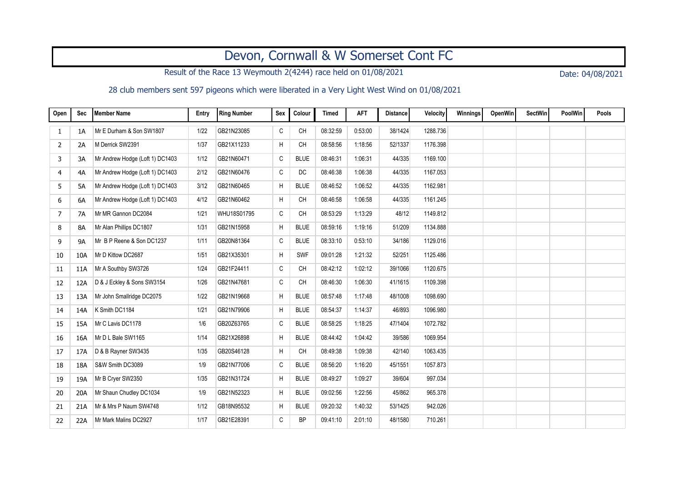## Devon, Cornwall & W Somerset Cont FC

Result of the Race 13 Weymouth 2(4244) race held on 01/08/2021 Date: 04/08/2021

28 club members sent 597 pigeons which were liberated in a Very Light West Wind on 01/08/2021

| Open | Sec       | <b>Member Name</b>              | Entry | Ring Number | Sex | Colour      | <b>Timed</b> | <b>AFT</b> | <b>Distance</b> | <b>Velocity</b> | Winnings | OpenWin | <b>SectWin</b> | <b>PoolWin</b> | Pools |
|------|-----------|---------------------------------|-------|-------------|-----|-------------|--------------|------------|-----------------|-----------------|----------|---------|----------------|----------------|-------|
| 1    | 1A        | Mr E Durham & Son SW1807        | 1/22  | GB21N23085  | C   | <b>CH</b>   | 08:32:59     | 0:53:00    | 38/1424         | 1288.736        |          |         |                |                |       |
| 2    | 2A        | M Derrick SW2391                | 1/37  | GB21X11233  | H   | <b>CH</b>   | 08:58:56     | 1:18:56    | 52/1337         | 1176.398        |          |         |                |                |       |
| 3    | 3A        | Mr Andrew Hodge (Loft 1) DC1403 | 1/12  | GB21N60471  | C   | <b>BLUE</b> | 08:46:31     | 1:06:31    | 44/335          | 1169.100        |          |         |                |                |       |
| 4    | 4A        | Mr Andrew Hodge (Loft 1) DC1403 | 2/12  | GB21N60476  | C   | <b>DC</b>   | 08:46:38     | 1:06:38    | 44/335          | 1167.053        |          |         |                |                |       |
| 5    | 5A        | Mr Andrew Hodge (Loft 1) DC1403 | 3/12  | GB21N60465  | H   | <b>BLUE</b> | 08:46:52     | 1:06:52    | 44/335          | 1162.981        |          |         |                |                |       |
| 6    | 6A        | Mr Andrew Hodge (Loft 1) DC1403 | 4/12  | GB21N60462  | H   | <b>CH</b>   | 08:46:58     | 1:06:58    | 44/335          | 1161.245        |          |         |                |                |       |
| 7    | 7A        | Mr MR Gannon DC2084             | 1/21  | WHU18S01795 | C   | CH          | 08:53:29     | 1:13:29    | 48/12           | 1149.812        |          |         |                |                |       |
| 8    | 8A        | Mr Alan Phillips DC1807         | 1/31  | GB21N15958  | H   | <b>BLUE</b> | 08:59:16     | 1:19:16    | 51/209          | 1134.888        |          |         |                |                |       |
| 9    | <b>9A</b> | Mr B P Reene & Son DC1237       | 1/11  | GB20N81364  | C   | <b>BLUE</b> | 08:33:10     | 0:53:10    | 34/186          | 1129.016        |          |         |                |                |       |
| 10   | 10A       | Mr D Kittow DC2687              | 1/51  | GB21X35301  | H   | <b>SWF</b>  | 09:01:28     | 1:21:32    | 52/251          | 1125.486        |          |         |                |                |       |
| 11   | 11A       | Mr A Southby SW3726             | 1/24  | GB21F24411  | C   | <b>CH</b>   | 08:42:12     | 1:02:12    | 39/1066         | 1120.675        |          |         |                |                |       |
| 12   | 12A       | D & J Eckley & Sons SW3154      | 1/26  | GB21N47681  | C   | <b>CH</b>   | 08:46:30     | 1:06:30    | 41/1615         | 1109.398        |          |         |                |                |       |
| 13   | 13A       | Mr John Smallridge DC2075       | 1/22  | GB21N19668  | H   | <b>BLUE</b> | 08:57:48     | 1:17:48    | 48/1008         | 1098.690        |          |         |                |                |       |
| 14   | 14A       | K Smith DC1184                  | 1/21  | GB21N79906  | H   | <b>BLUE</b> | 08:54:37     | 1:14:37    | 46/893          | 1096.980        |          |         |                |                |       |
| 15   | 15A       | Mr C Lavis DC1178               | 1/6   | GB20Z63765  | C   | <b>BLUE</b> | 08:58:25     | 1:18:25    | 47/1404         | 1072.782        |          |         |                |                |       |
| 16   | 16A       | Mr D L Bale SW1165              | 1/14  | GB21X26898  | H   | <b>BLUE</b> | 08:44:42     | 1:04:42    | 39/586          | 1069.954        |          |         |                |                |       |
| 17   | 17A       | D & B Rayner SW3435             | 1/35  | GB20S46128  | H   | <b>CH</b>   | 08:49:38     | 1:09:38    | 42/140          | 1063.435        |          |         |                |                |       |
| 18   | 18A       | S&W Smith DC3089                | 1/9   | GB21N77006  | C   | <b>BLUE</b> | 08:56:20     | 1:16:20    | 45/1551         | 1057.873        |          |         |                |                |       |
| 19   | 19A       | Mr B Cryer SW2350               | 1/35  | GB21N31724  | H   | <b>BLUE</b> | 08:49:27     | 1:09:27    | 39/604          | 997.034         |          |         |                |                |       |
| 20   | 20A       | Mr Shaun Chudley DC1034         | 1/9   | GB21N52323  | H   | <b>BLUE</b> | 09:02:56     | 1:22:56    | 45/862          | 965.378         |          |         |                |                |       |
| 21   | 21A       | Mr & Mrs P Naum SW4748          | 1/12  | GB18N95532  | H   | <b>BLUE</b> | 09:20:32     | 1:40:32    | 53/1425         | 942.026         |          |         |                |                |       |
| 22   | 22A       | Mr Mark Malins DC2927           | 1/17  | GB21E28391  | C   | <b>BP</b>   | 09:41:10     | 2:01:10    | 48/1580         | 710.261         |          |         |                |                |       |